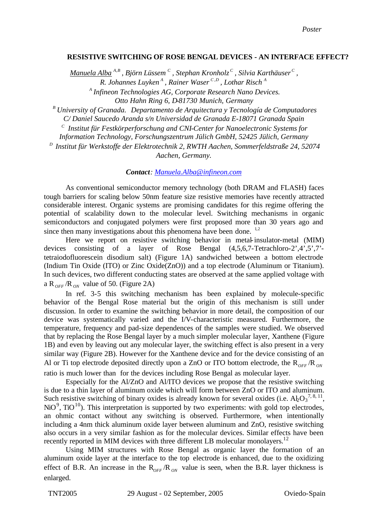## **RESISTIVE SWITCHING OF ROSE BENGAL DEVICES - AN INTERFACE EFFECT?**

*Manuela Alba <sup>A</sup>*,*<sup>B</sup> , Björn Lüssem <sup>C</sup> , Stephan Kronholz <sup>C</sup> , Silvia Karthäuser <sup>C</sup> , R. Johannes Luyken <sup>A</sup> , Rainer Waser <sup>C</sup>* ,*<sup>D</sup> , Lothar Risch <sup>A</sup>*

*A Infineon Technologies AG, Corporate Research Nano Devices. Otto Hahn Ring 6, D-81730 Munich, Germany*

*<sup>B</sup> University of Granada. Departamento de Arquitectura y Tecnología de Computadores C/ Daniel Saucedo Aranda s/n Universidad de Granada E-18071 Granada Spain*

*C Institut für Festkörperforschung and CNI-Center for Nanoelectronic Systems for Information Technology, Forschungszentrum Jülich GmbH, 52425 Jülich, Germany*

*D Institut für Werkstoffe der Elektrotechnik 2, RWTH Aachen, Sommerfeldstraße 24, 52074 Aachen, Germany.*

*Contact: Manuela.Alba@infineon.com*

As conventional semiconductor memory technology (both DRAM and FLASH) faces tough barriers for scaling below 50nm feature size resistive memories have recently attracted considerable interest. Organic systems are promising candidates for this regime offering the potential of scalability down to the molecular level. Switching mechanisms in organic semiconductors and conjugated polymers were first proposed more than 30 years ago and since then many investigations about this phenomena have been done.  $1.2$ 

Here we report on resistive switching behavior in metal-insulator-metal (MIM) devices consisting of a layer of Rose Bengal (4,5,6,7-Tetrachloro-2',4',5',7' tetraiodofluorescein disodium salt) (Figure 1A) sandwiched between a bottom electrode (Indium Tin Oxide (ITO) or Zinc Oxide(ZnO)) and a top electrode (Aluminum or Titanium). In such devices, two different conducting states are observed at the same applied voltage with a R<sub>OFF</sub>/R<sub>ON</sub> value of 50. (Figure 2A)

In ref. 3-5 this switching mechanism has been explained by molecule-specific behavior of the Bengal Rose material but the origin of this mechanism is still under discussion. In order to examine the switching behavior in more detail, the composition of our device was systematically varied and the I/V-characteristic measured. Furthermore, the temperature, frequency and pad-size dependences of the samples were studied. We observed that by replacing the Rose Bengal layer by a much simpler molecular layer, Xanthene (Figure 1B) and even by leaving out any molecular layer, the switching effect is also present in a very similar way (Figure 2B). However for the Xanthene device and for the device consisting of an Al or Ti top electrode deposited directly upon a ZnO or ITO bottom electrode, the  $R_{OFE}/R_{ON}$ ratio is much lower than for the devices including Rose Bengal as molecular layer.

Especially for the Al/ZnO and Al/ITO devices we propose that the resistive switching is due to a thin layer of aluminum oxide which will form between ZnO or ITO and aluminum. Such resistive switching of binary oxides is already known for several oxides (i.e.  $A_2O_3^{7,8,11}$ , NiO<sup>9</sup>, TiO<sup>10</sup>). This interpretation is supported by two experiments: with gold top electrodes, an ohmic contact without any switching is observed. Furthermore, when intentionally including a 4nm thick aluminum oxide layer between aluminum and ZnO, resistive switching also occurs in a very similar fashion as for the molecular devices. Similar effects have been recently reported in MIM devices with three different LB molecular monolayers.<sup>12</sup>

Using MIM structures with Rose Bengal as organic layer the formation of an aluminum oxide layer at the interface to the top electrode is enhanced, due to the oxidizing effect of B.R. An increase in the  $R_{OFF}/R_{ON}$  value is seen, when the B.R. layer thickness is enlarged.